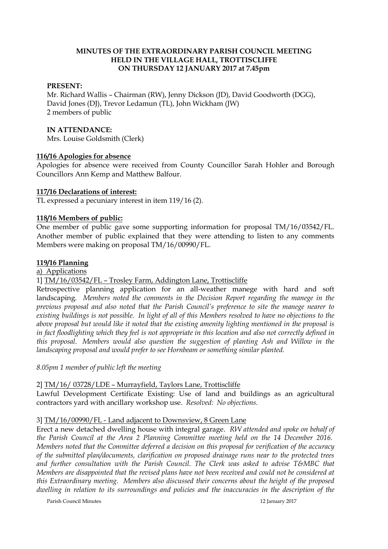### **MINUTES OF THE EXTRAORDINARY PARISH COUNCIL MEETING HELD IN THE VILLAGE HALL, TROTTISCLIFFE ON THURSDAY 12 JANUARY 2017 at 7.45pm**

#### **PRESENT:**

Mr. Richard Wallis – Chairman (RW), Jenny Dickson (JD), David Goodworth (DGG), David Jones (DJ), Trevor Ledamun (TL), John Wickham (JW) 2 members of public

#### **IN ATTENDANCE:**

Mrs. Louise Goldsmith (Clerk)

## **116/16 Apologies for absence**

Apologies for absence were received from County Councillor Sarah Hohler and Borough Councillors Ann Kemp and Matthew Balfour.

#### **117/16 Declarations of interest:**

TL expressed a pecuniary interest in item 119/16 (2).

## **118/16 Members of public:**

One member of public gave some supporting information for proposal TM/16/03542/FL. Another member of public explained that they were attending to listen to any comments Members were making on proposal TM/16/00990/FL.

#### **119/16 Planning**

a) Applications

1] TM/16/03542/FL – Trosley Farm, Addington Lane, Trottiscliffe

Retrospective planning application for an all-weather manege with hard and soft landscaping. Members noted the comments in the Decision Report regarding the manege in the *previous proposal and also noted that the Parish Council's preference to site the manege nearer to existing buildings is not possible. In light of all of this Members resolved to have no objections to the above proposal but would like it noted that the existing amenity lighting mentioned in the proposal is in fact floodlighting which they feel is not appropriate in this location and also not correctly defined in this proposal. Members would also question the suggestion of planting Ash and Willow in the landscaping proposal and would prefer to see Hornbeam or something similar planted.*

*8.05pm 1 member of public left the meeting*

## 2] TM/16/ 03728/LDE – Murrayfield, Taylors Lane, Trottiscliffe

Lawful Development Certificate Existing: Use of land and buildings as an agricultural contractors yard with ancillary workshop use. *Resolved: No objections.*

## 3] TM/16/00990/FL - Land adjacent to Downsview, 8 Green Lane

Erect a new detached dwelling house with integral garage. *RW attended and spoke on behalf of the Parish Council at the Area 2 Planning Committee meeting held on the 14 December 2016. Members noted that the Committee deferred a decision on this proposal for verification of the accuracy of the submitted plan/documents, clarification on proposed drainage runs near to the protected trees and further consultation with the Parish Council. The Clerk was asked to advise T&MBC that Members are disappointed that the revised plans have not been received and could not be considered at this Extraordinary meeting. Members also discussed their concerns about the height of the proposed dwelling in relation to its surroundings and policies and the inaccuracies in the description of the* 

Parish Council Minutes 12 January 2017